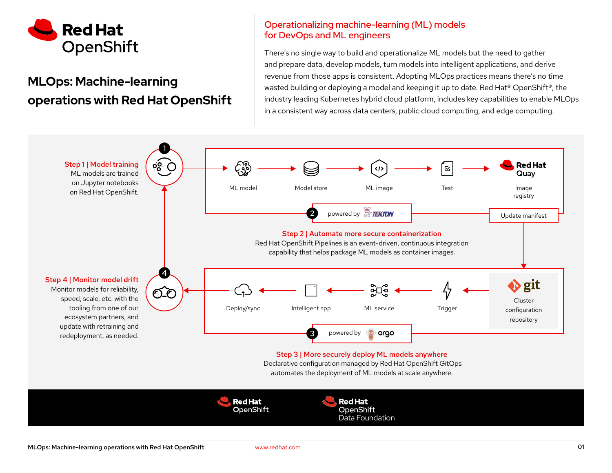

# MLOps: Machine-learning operations with Red Hat OpenShift

### Operationalizing machine-learning (ML) models for DevOps and ML engineers

There's no single way to build and operationalize ML models but the need to gather and prepare data, develop models, turn models into intelligent applications, and derive revenue from those apps is consistent. Adopting MLOps practices means there's no time wasted building or deploying a model and keeping it up to date. Red Hat® OpenShift®, the industry leading Kubernetes hybrid cloud platform, includes key capabilities to enable MLOps in a consistent way across data centers, public cloud computing, and edge computing.